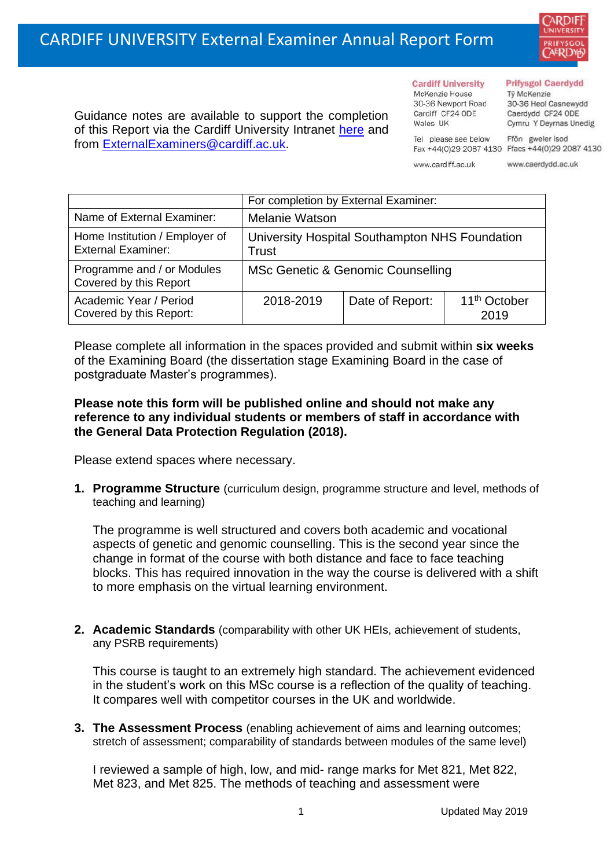

Guidance notes are available to support the completion of this Report via the Cardiff University Intranet [here](https://intranet.cardiff.ac.uk/staff/teaching-and-supporting-students/exams-and-assessment/exam-boards-and-external-examiners/for-current-external-examiners/external-examiners-reports) and from [ExternalExaminers@cardiff.ac.uk.](mailto:ExternalExaminers@cardiff.ac.uk)

**Cardiff University** McKenzie House 30-36 Newport Road Cardiff CF24 ODE

Tel please see below

Wales UK

#### **Prifysgol Caerdydd**

Từ McKenzie 30-36 Heol Casnewydd Caerdydd CF24 ODE Cymru Y Deyrnas Unedig

Ffôn gweler isod Fax +44(0)29 2087 4130 Ffacs +44(0)29 2087 4130

www.cardiff.ac.uk www.caerdydd.ac.uk

|                                                             | For completion by External Examiner:                    |                 |                                  |  |
|-------------------------------------------------------------|---------------------------------------------------------|-----------------|----------------------------------|--|
| Name of External Examiner:                                  | <b>Melanie Watson</b>                                   |                 |                                  |  |
| Home Institution / Employer of<br><b>External Examiner:</b> | University Hospital Southampton NHS Foundation<br>Trust |                 |                                  |  |
| Programme and / or Modules<br>Covered by this Report        | <b>MSc Genetic &amp; Genomic Counselling</b>            |                 |                                  |  |
| Academic Year / Period<br>Covered by this Report:           | 2018-2019                                               | Date of Report: | 11 <sup>th</sup> October<br>2019 |  |

Please complete all information in the spaces provided and submit within **six weeks** of the Examining Board (the dissertation stage Examining Board in the case of postgraduate Master's programmes).

### **Please note this form will be published online and should not make any reference to any individual students or members of staff in accordance with the General Data Protection Regulation (2018).**

Please extend spaces where necessary.

**1. Programme Structure** (curriculum design, programme structure and level, methods of teaching and learning)

The programme is well structured and covers both academic and vocational aspects of genetic and genomic counselling. This is the second year since the change in format of the course with both distance and face to face teaching blocks. This has required innovation in the way the course is delivered with a shift to more emphasis on the virtual learning environment.

**2. Academic Standards** (comparability with other UK HEIs, achievement of students, any PSRB requirements)

This course is taught to an extremely high standard. The achievement evidenced in the student's work on this MSc course is a reflection of the quality of teaching. It compares well with competitor courses in the UK and worldwide.

**3. The Assessment Process** (enabling achievement of aims and learning outcomes; stretch of assessment; comparability of standards between modules of the same level)

I reviewed a sample of high, low, and mid- range marks for Met 821, Met 822, Met 823, and Met 825. The methods of teaching and assessment were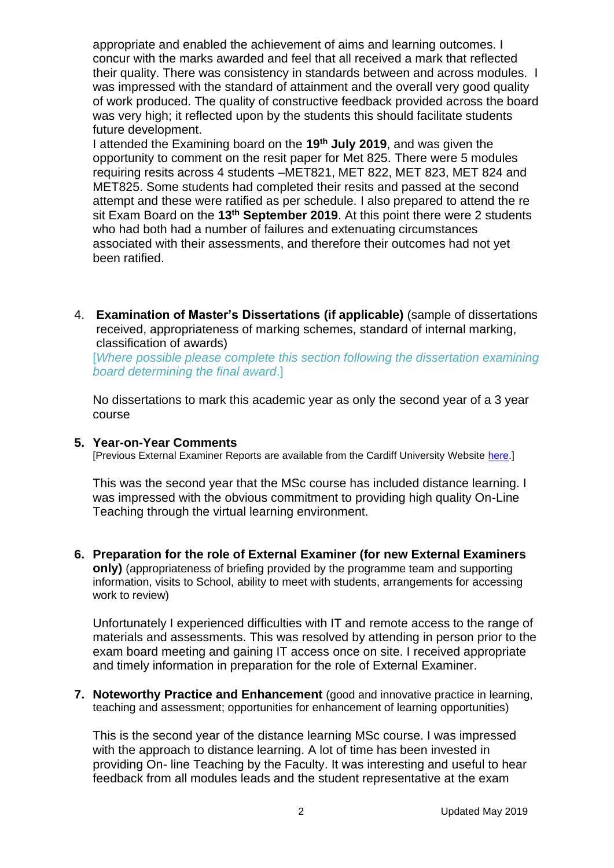appropriate and enabled the achievement of aims and learning outcomes. I concur with the marks awarded and feel that all received a mark that reflected their quality. There was consistency in standards between and across modules. I was impressed with the standard of attainment and the overall very good quality of work produced. The quality of constructive feedback provided across the board was very high; it reflected upon by the students this should facilitate students future development.

I attended the Examining board on the **19th July 2019**, and was given the opportunity to comment on the resit paper for Met 825. There were 5 modules requiring resits across 4 students –MET821, MET 822, MET 823, MET 824 and MET825. Some students had completed their resits and passed at the second attempt and these were ratified as per schedule. I also prepared to attend the re sit Exam Board on the **13th September 2019**. At this point there were 2 students who had both had a number of failures and extenuating circumstances associated with their assessments, and therefore their outcomes had not yet been ratified.

4. **Examination of Master's Dissertations (if applicable)** (sample of dissertations received, appropriateness of marking schemes, standard of internal marking, classification of awards)

[*Where possible please complete this section following the dissertation examining board determining the final award*.]

No dissertations to mark this academic year as only the second year of a 3 year course

### **5. Year-on-Year Comments**

[Previous External Examiner Reports are available from the Cardiff University Website [here.](https://www.cardiff.ac.uk/public-information/quality-and-standards/external-examiner-reports)]

This was the second year that the MSc course has included distance learning. I was impressed with the obvious commitment to providing high quality On-Line Teaching through the virtual learning environment.

**6. Preparation for the role of External Examiner (for new External Examiners only)** (appropriateness of briefing provided by the programme team and supporting information, visits to School, ability to meet with students, arrangements for accessing work to review)

Unfortunately I experienced difficulties with IT and remote access to the range of materials and assessments. This was resolved by attending in person prior to the exam board meeting and gaining IT access once on site. I received appropriate and timely information in preparation for the role of External Examiner.

**7. Noteworthy Practice and Enhancement** (good and innovative practice in learning, teaching and assessment; opportunities for enhancement of learning opportunities)

This is the second year of the distance learning MSc course. I was impressed with the approach to distance learning. A lot of time has been invested in providing On- line Teaching by the Faculty. It was interesting and useful to hear feedback from all modules leads and the student representative at the exam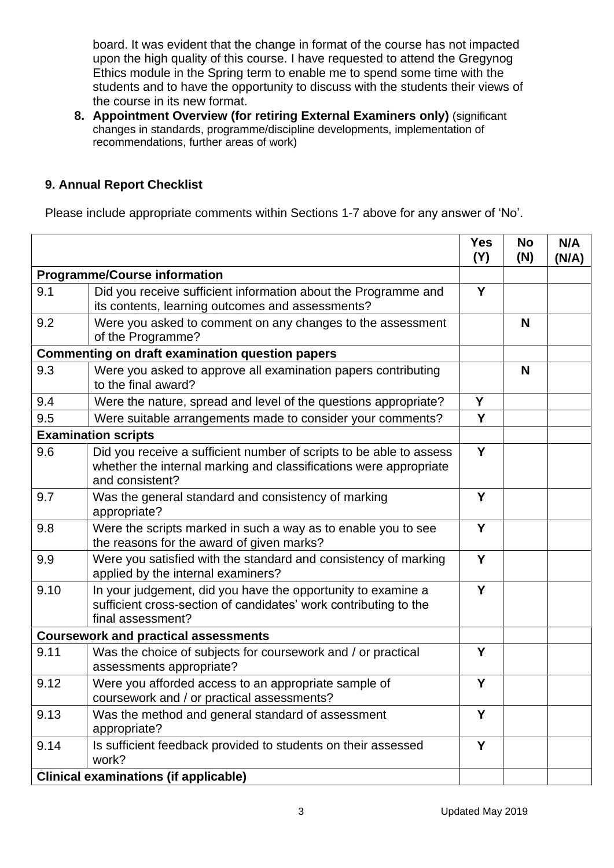board. It was evident that the change in format of the course has not impacted upon the high quality of this course. I have requested to attend the Gregynog Ethics module in the Spring term to enable me to spend some time with the students and to have the opportunity to discuss with the students their views of the course in its new format.

**8. Appointment Overview (for retiring External Examiners only)** (significant changes in standards, programme/discipline developments, implementation of recommendations, further areas of work)

# **9. Annual Report Checklist**

Please include appropriate comments within Sections 1-7 above for any answer of 'No'.

|                                     |                                                                                                                                                             | <b>Yes</b><br>(Y) | <b>No</b><br>(N) | N/A<br>(N/A) |
|-------------------------------------|-------------------------------------------------------------------------------------------------------------------------------------------------------------|-------------------|------------------|--------------|
| <b>Programme/Course information</b> |                                                                                                                                                             |                   |                  |              |
| 9.1                                 | Did you receive sufficient information about the Programme and<br>its contents, learning outcomes and assessments?                                          | Y                 |                  |              |
| 9.2                                 | Were you asked to comment on any changes to the assessment<br>of the Programme?                                                                             |                   | N                |              |
|                                     | <b>Commenting on draft examination question papers</b>                                                                                                      |                   |                  |              |
| 9.3                                 | Were you asked to approve all examination papers contributing<br>to the final award?                                                                        |                   | N                |              |
| 9.4                                 | Were the nature, spread and level of the questions appropriate?                                                                                             | Y                 |                  |              |
| 9.5                                 | Were suitable arrangements made to consider your comments?                                                                                                  | Y                 |                  |              |
|                                     | <b>Examination scripts</b>                                                                                                                                  |                   |                  |              |
| 9.6                                 | Did you receive a sufficient number of scripts to be able to assess<br>whether the internal marking and classifications were appropriate<br>and consistent? | Y                 |                  |              |
| 9.7                                 | Was the general standard and consistency of marking<br>appropriate?                                                                                         | Y                 |                  |              |
| 9.8                                 | Were the scripts marked in such a way as to enable you to see<br>the reasons for the award of given marks?                                                  | Y                 |                  |              |
| 9.9                                 | Were you satisfied with the standard and consistency of marking<br>applied by the internal examiners?                                                       | Y                 |                  |              |
| 9.10                                | In your judgement, did you have the opportunity to examine a<br>sufficient cross-section of candidates' work contributing to the<br>final assessment?       | Y                 |                  |              |
|                                     | <b>Coursework and practical assessments</b>                                                                                                                 |                   |                  |              |
| 9.11                                | Was the choice of subjects for coursework and / or practical<br>assessments appropriate?                                                                    | Y                 |                  |              |
| 9.12                                | Were you afforded access to an appropriate sample of<br>coursework and / or practical assessments?                                                          | Y                 |                  |              |
| 9.13                                | Was the method and general standard of assessment<br>appropriate?                                                                                           | Y                 |                  |              |
| 9.14                                | Is sufficient feedback provided to students on their assessed<br>work?                                                                                      | Y                 |                  |              |
|                                     | <b>Clinical examinations (if applicable)</b>                                                                                                                |                   |                  |              |